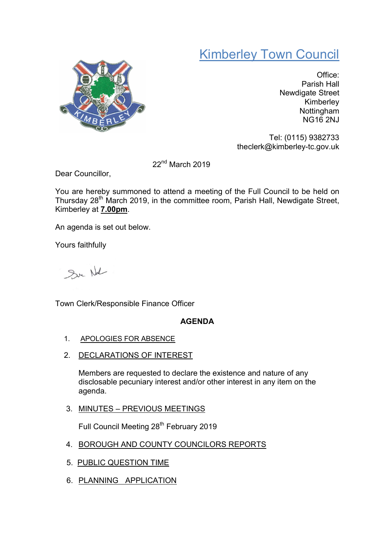## Kimberley Town Council



Office: Parish Hall Newdigate Street Kimberley Nottingham NG16 2NJ

Tel: (0115) 9382733 theclerk@kimberley-tc.gov.uk

22nd March 2019

Dear Councillor,

You are hereby summoned to attend a meeting of the Full Council to be held on Thursday  $28<sup>th</sup>$  March 2019, in the committee room, Parish Hall, Newdigate Street, Kimberley at 7.00pm.

An agenda is set out below.

Yours faithfully

Sur Not

Town Clerk/Responsible Finance Officer

## AGENDA

- 1. APOLOGIES FOR ABSENCE
- 2. DECLARATIONS OF INTEREST

Members are requested to declare the existence and nature of any disclosable pecuniary interest and/or other interest in any item on the agenda.

3. MINUTES – PREVIOUS MEETINGS

Full Council Meeting 28<sup>th</sup> February 2019

- 4. BOROUGH AND COUNTY COUNCILORS REPORTS
- 5. PUBLIC QUESTION TIME
- 6. PLANNING APPLICATION